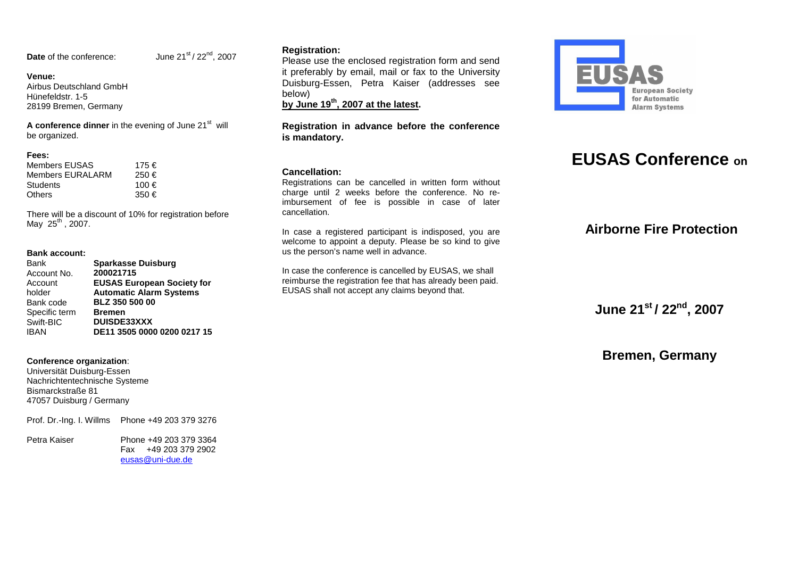**Date** of the conference: June 21<sup>st</sup> / 22<sup>nd</sup>, 2007

#### **Venue:**

 Airbus Deutschland GmbH Hünefeldstr. 1-5 28199 Bremen, Germany

**A conference dinner** in the evening of June 21<sup>st</sup> will be organized.

#### **Fees:**

| Members EUSAS    | 175 € |
|------------------|-------|
| Members EURALARM | 250€  |
| Students         | 100€  |
| Others           | 350 € |

There will be a discount of 10% for registration before May  $25^{th}$ , 2007.

#### **Bank account:**

| <b>Bank</b>   | <b>Sparkasse Duisburg</b>         |
|---------------|-----------------------------------|
| Account No.   | 200021715                         |
| Account       | <b>EUSAS European Society for</b> |
| holder        | <b>Automatic Alarm Systems</b>    |
| Bank code     | <b>BLZ 350 500 00</b>             |
| Specific term | <b>Bremen</b>                     |
| Swift-BIC     | <b>DUISDE33XXX</b>                |
| <b>IBAN</b>   | DE11 3505 0000 0200 0217 15       |

#### **Conference organization**:

 Universität Duisburg-Essen Nachrichtentechnische Systeme Bismarckstraße 81 47057 Duisburg / Germany

Prof. Dr.-Ing. I. Willms Phone +49 203 379 3276

Petra Kaiser Phone +49 203 379 3364 Fax +49 203 379 2902 eusas@uni-due.de

#### **Registration:**

 Please use the enclosed registration form and send it preferably by email, mail or fax to the University Duisburg-Essen, Petra Kaiser (addresses see below)

**by June 19th, 2007 at the latest.** 

#### **Registration in advance before the conference is mandatory.**

#### **Cancellation:**

 Registrations can be cancelled in written form without charge until 2 weeks before the conference. No reimbursement of fee is possible in case of later cancellation.

In case a registered participant is indisposed, you are welcome to appoint a deputy. Please be so kind to give us the person's name well in advance.

In case the conference is cancelled by EUSAS, we shall reimburse the registration fee that has already been paid. EUSAS shall not accept any claims beyond that.



# **EUSAS Conference on**

# **Airborne Fire Protection**

**June 21st / 22nd, <sup>2007</sup>**

**Bremen, Germany**